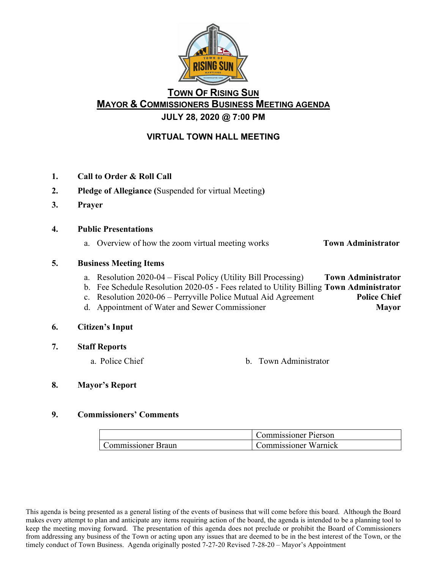

# **TOWN OF RISING SUN MAYOR & COMMISSIONERS BUSINESS MEETING AGENDA JULY 28, 2020 @ 7:00 PM**

## **VIRTUAL TOWN HALL MEETING**

- **1. Call to Order & Roll Call**
- **2. Pledge of Allegiance (**Suspended for virtual Meeting**)**
- **3. Prayer**
- **4. Public Presentations**
	- a. Overview of how the zoom virtual meeting works **Town Administrator**

## **5. Business Meeting Items**

- a. Resolution 2020-04 Fiscal Policy (Utility Bill Processing) **Town Administrator**
- b. Fee Schedule Resolution 2020-05 Fees related to Utility Billing **Town Administrator**
- c. Resolution 2020-06 Perryville Police Mutual Aid Agreement **Police Chief**
- d. Appointment of Water and Sewer Commissioner **Mayor**

#### **6. Citizen's Input**

- **7. Staff Reports**
	-
	- a. Police Chief b. Town Administrator

## **8. Mayor's Report**

#### **9. Commissioners' Comments**

|                           | <b>Commissioner Pierson</b> |
|---------------------------|-----------------------------|
| <b>Commissioner Braun</b> | Commissioner Warnick        |

This agenda is being presented as a general listing of the events of business that will come before this board. Although the Board makes every attempt to plan and anticipate any items requiring action of the board, the agenda is intended to be a planning tool to keep the meeting moving forward. The presentation of this agenda does not preclude or prohibit the Board of Commissioners from addressing any business of the Town or acting upon any issues that are deemed to be in the best interest of the Town, or the timely conduct of Town Business. Agenda originally posted 7-27-20 Revised 7-28-20 – Mayor's Appointment